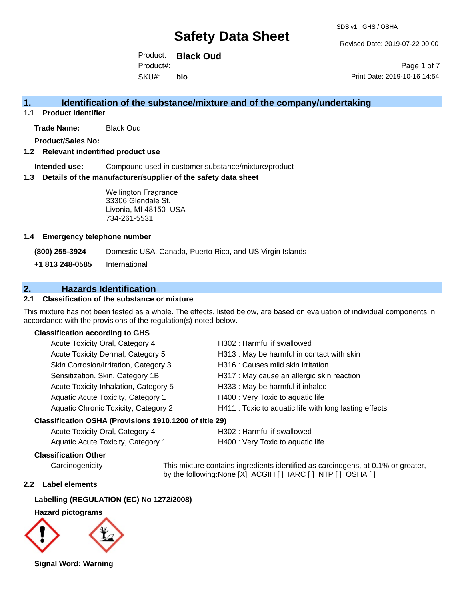Revised Date: 2019-07-22 00:00

Product: **Black Oud** SKU#: Product#: **blo**

Page 1 of 7 Print Date: 2019-10-16 14:54

## **1. Identification of the substance/mixture and of the company/undertaking**

**1.1 Product identifier**

**Trade Name:** Black Oud

**Product/Sales No:**

### **1.2 Relevant indentified product use**

**Intended use:** Compound used in customer substance/mixture/product

#### **1.3 Details of the manufacturer/supplier of the safety data sheet**

Wellington Fragrance 33306 Glendale St. Livonia, MI 48150 USA 734-261-5531

#### **1.4 Emergency telephone number**

**(800) 255-3924** Domestic USA, Canada, Puerto Rico, and US Virgin Islands

**+1 813 248-0585** International

## **2. Hazards Identification**

## **2.1 Classification of the substance or mixture**

This mixture has not been tested as a whole. The effects, listed below, are based on evaluation of individual components in accordance with the provisions of the regulation(s) noted below.

## **Classification according to GHS**

| Acute Toxicity Oral, Category 4       | H302: Harmful if swallowed                             |
|---------------------------------------|--------------------------------------------------------|
| Acute Toxicity Dermal, Category 5     | H313: May be harmful in contact with skin              |
| Skin Corrosion/Irritation, Category 3 | H316 : Causes mild skin irritation                     |
| Sensitization, Skin, Category 1B      | H317 : May cause an allergic skin reaction             |
| Acute Toxicity Inhalation, Category 5 | H333: May be harmful if inhaled                        |
| Aquatic Acute Toxicity, Category 1    | H400 : Very Toxic to aquatic life                      |
| Aquatic Chronic Toxicity, Category 2  | H411 : Toxic to aquatic life with long lasting effects |
|                                       |                                                        |

#### **Classification OSHA (Provisions 1910.1200 of title 29)**

| Acute Toxicity Oral, Category 4    | H302 : Har |
|------------------------------------|------------|
| Aquatic Acute Toxicity, Category 1 | H400 : Ver |

# mful if swallowed

y Toxic to aquatic life

### **Classification Other**

Carcinogenicity This mixture contains ingredients identified as carcinogens, at 0.1% or greater, by the following:None [X] ACGIH [ ] IARC [ ] NTP [ ] OSHA [ ]

## **2.2 Label elements**

## **Labelling (REGULATION (EC) No 1272/2008)**

#### **Hazard pictograms**



**Signal Word: Warning**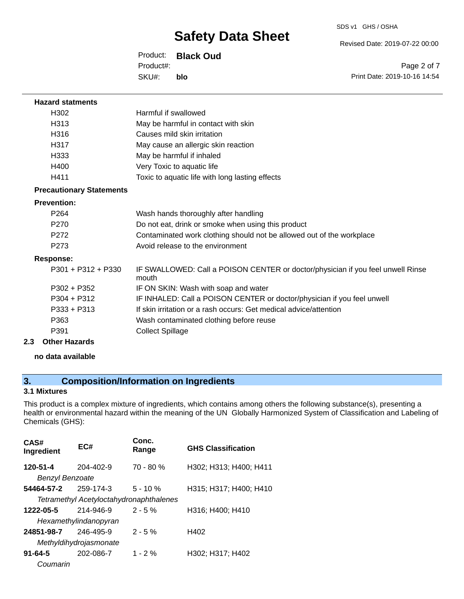Revised Date: 2019-07-22 00:00

Product: **Black Oud** SKU#: Product#: **blo**

Page 2 of 7 Print Date: 2019-10-16 14:54

| <b>Hazard statments</b>         |                                                                                          |
|---------------------------------|------------------------------------------------------------------------------------------|
| H <sub>302</sub>                | Harmful if swallowed                                                                     |
| H <sub>313</sub>                | May be harmful in contact with skin                                                      |
| H316                            | Causes mild skin irritation                                                              |
| H317                            | May cause an allergic skin reaction                                                      |
| H333                            | May be harmful if inhaled                                                                |
| H400                            | Very Toxic to aquatic life                                                               |
| H411                            | Toxic to aquatic life with long lasting effects                                          |
| <b>Precautionary Statements</b> |                                                                                          |
| <b>Prevention:</b>              |                                                                                          |
| P <sub>264</sub>                | Wash hands thoroughly after handling                                                     |
| P <sub>270</sub>                | Do not eat, drink or smoke when using this product                                       |
| P <sub>272</sub>                | Contaminated work clothing should not be allowed out of the workplace                    |
| P273                            | Avoid release to the environment                                                         |
| <b>Response:</b>                |                                                                                          |
| $P301 + P312 + P330$            | IF SWALLOWED: Call a POISON CENTER or doctor/physician if you feel unwell Rinse<br>mouth |
| $P302 + P352$                   | IF ON SKIN: Wash with soap and water                                                     |
| $P304 + P312$                   | IF INHALED: Call a POISON CENTER or doctor/physician if you feel unwell                  |
| $P333 + P313$                   | If skin irritation or a rash occurs: Get medical advice/attention                        |
| P363                            | Wash contaminated clothing before reuse                                                  |
| P391                            | <b>Collect Spillage</b>                                                                  |
| <b>Other Hazards</b><br>2.3     |                                                                                          |

**no data available**

# **3. Composition/Information on Ingredients**

## **3.1 Mixtures**

This product is a complex mixture of ingredients, which contains among others the following substance(s), presenting a health or environmental hazard within the meaning of the UN Globally Harmonized System of Classification and Labeling of Chemicals (GHS):

| CAS#<br>Ingredient                 | EC#                                                         | Conc.<br>Range | <b>GHS Classification</b> |
|------------------------------------|-------------------------------------------------------------|----------------|---------------------------|
| 120-51-4<br><b>Benzyl Benzoate</b> | 204-402-9                                                   | $70 - 80 %$    | H302; H313; H400; H411    |
| 54464-57-2                         | 259-174-3<br><b>Tetramethyl Acetyloctahydronaphthalenes</b> | $5 - 10 \%$    | H315; H317; H400; H410    |
| 1222-05-5                          | 214-946-9<br>Hexamethylindanopyran                          | $2 - 5%$       | H316; H400; H410          |
| 24851-98-7                         | 246-495-9<br>Methyldihydrojasmonate                         | $2 - 5%$       | H402                      |
| $91 - 64 - 5$<br>Coumarin          | 202-086-7                                                   | $1 - 2\%$      | H302; H317; H402          |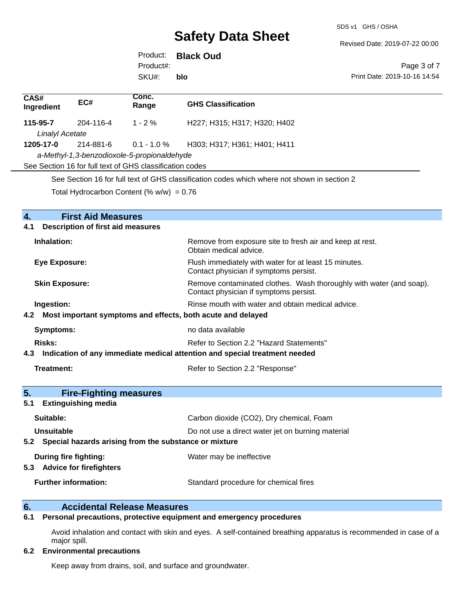SDS v1 GHS / OSHA

Revised Date: 2019-07-22 00:00

Product: **Black Oud** SKU#: Product#: **blo**

Page 3 of 7 Print Date: 2019-10-16 14:54

| CAS#<br>Ingredient                          | EC#       | Conc.<br>Range                                           | <b>GHS Classification</b>    |
|---------------------------------------------|-----------|----------------------------------------------------------|------------------------------|
| 115-95-7                                    | 204-116-4 | $1 - 2\%$                                                | H227; H315; H317; H320; H402 |
| Linalyl Acetate                             |           |                                                          |                              |
| 1205-17-0                                   | 214-881-6 | $0.1$ - 1.0 $\%$                                         | H303; H317; H361; H401; H411 |
| a-Methyl-1,3-benzodioxole-5-propionaldehyde |           |                                                          |                              |
|                                             |           | See Section 16 for full text of GHS classification codes |                              |
|                                             |           |                                                          |                              |

See Section 16 for full text of GHS classification codes which where not shown in section 2

Total Hydrocarbon Content (%  $w/w$ ) = 0.76

| 4.<br><b>First Aid Measures</b>                                                   |                                                                                                               |  |  |  |
|-----------------------------------------------------------------------------------|---------------------------------------------------------------------------------------------------------------|--|--|--|
| <b>Description of first aid measures</b><br>4.1                                   |                                                                                                               |  |  |  |
| Inhalation:                                                                       | Remove from exposure site to fresh air and keep at rest.<br>Obtain medical advice.                            |  |  |  |
| <b>Eye Exposure:</b>                                                              | Flush immediately with water for at least 15 minutes.<br>Contact physician if symptoms persist.               |  |  |  |
| <b>Skin Exposure:</b>                                                             | Remove contaminated clothes. Wash thoroughly with water (and soap).<br>Contact physician if symptoms persist. |  |  |  |
| Ingestion:                                                                        | Rinse mouth with water and obtain medical advice.                                                             |  |  |  |
| Most important symptoms and effects, both acute and delayed<br>4.2                |                                                                                                               |  |  |  |
| <b>Symptoms:</b>                                                                  | no data available                                                                                             |  |  |  |
| Refer to Section 2.2 "Hazard Statements"<br>Risks:                                |                                                                                                               |  |  |  |
| Indication of any immediate medical attention and special treatment needed<br>4.3 |                                                                                                               |  |  |  |
| <b>Treatment:</b>                                                                 | Refer to Section 2.2 "Response"                                                                               |  |  |  |
|                                                                                   |                                                                                                               |  |  |  |
| 5.<br><b>Fire-Fighting measures</b>                                               |                                                                                                               |  |  |  |
| <b>Extinguishing media</b><br>5.1                                                 |                                                                                                               |  |  |  |
| Suitable:                                                                         | Carbon dioxide (CO2), Dry chemical, Foam                                                                      |  |  |  |
| Unsuitable                                                                        | Do not use a direct water jet on burning material                                                             |  |  |  |
| 5.2 Special hazards arising from the substance or mixture                         |                                                                                                               |  |  |  |
| During fire fighting:                                                             | Water may be ineffective                                                                                      |  |  |  |
| <b>Advice for firefighters</b><br>5.3                                             |                                                                                                               |  |  |  |
| <b>Further information:</b>                                                       | Standard procedure for chemical fires                                                                         |  |  |  |

# **6. Accidental Release Measures**<br>**6.1** Personal precautions, protective equipm

## **6.1 Personal precautions, protective equipment and emergency procedures**

Avoid inhalation and contact with skin and eyes. A self-contained breathing apparatus is recommended in case of a major spill.

### **6.2 Environmental precautions**

Keep away from drains, soil, and surface and groundwater.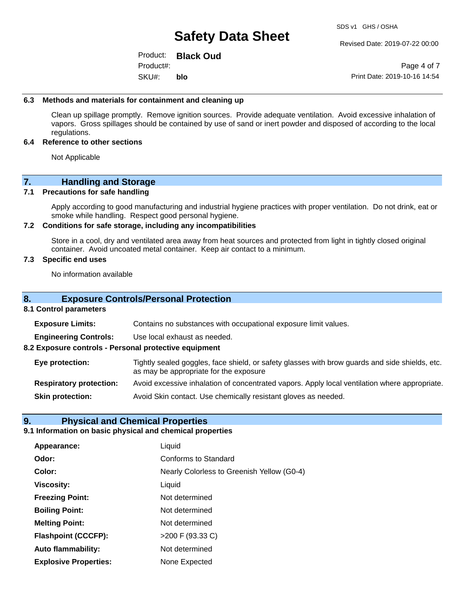Revised Date: 2019-07-22 00:00

Product: **Black Oud** SKU#: Product#: **blo**

Page 4 of 7 Print Date: 2019-10-16 14:54

#### **6.3 Methods and materials for containment and cleaning up**

Clean up spillage promptly. Remove ignition sources. Provide adequate ventilation. Avoid excessive inhalation of vapors. Gross spillages should be contained by use of sand or inert powder and disposed of according to the local regulations.

#### **6.4 Reference to other sections**

Not Applicable

## **7. Handling and Storage**

### **7.1 Precautions for safe handling**

Apply according to good manufacturing and industrial hygiene practices with proper ventilation. Do not drink, eat or smoke while handling. Respect good personal hygiene.

#### **7.2 Conditions for safe storage, including any incompatibilities**

Store in a cool, dry and ventilated area away from heat sources and protected from light in tightly closed original container. Avoid uncoated metal container. Keep air contact to a minimum.

### **7.3 Specific end uses**

No information available

## **8. Exposure Controls/Personal Protection**

#### **8.1 Control parameters**

**Exposure Limits:** Contains no substances with occupational exposure limit values.

**Engineering Controls:** Use local exhaust as needed.

**8.2 Exposure controls - Personal protective equipment**

**Eye protection:** Tightly sealed goggles, face shield, or safety glasses with brow guards and side shields, etc. as may be appropriate for the exposure

**Respiratory protection:** Avoid excessive inhalation of concentrated vapors. Apply local ventilation where appropriate.

**Skin protection:** Avoid Skin contact. Use chemically resistant gloves as needed.

## **9. Physical and Chemical Properties**

### **9.1 Information on basic physical and chemical properties**

| Appearance:                  | Liquid                                     |
|------------------------------|--------------------------------------------|
| Odor:                        | Conforms to Standard                       |
| Color:                       | Nearly Colorless to Greenish Yellow (G0-4) |
| <b>Viscosity:</b>            | Liquid                                     |
| <b>Freezing Point:</b>       | Not determined                             |
| <b>Boiling Point:</b>        | Not determined                             |
| <b>Melting Point:</b>        | Not determined                             |
| <b>Flashpoint (CCCFP):</b>   | >200 F (93.33 C)                           |
| <b>Auto flammability:</b>    | Not determined                             |
| <b>Explosive Properties:</b> | None Expected                              |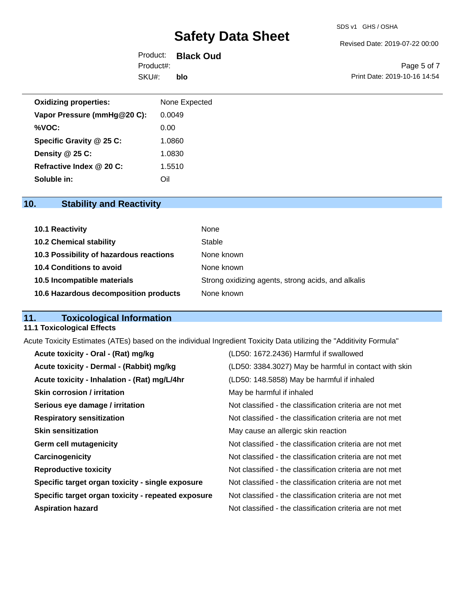Revised Date: 2019-07-22 00:00

Product: **Black Oud** SKU#: Product#: **blo**

Page 5 of 7 Print Date: 2019-10-16 14:54

| <b>Oxidizing properties:</b> | None Expected |
|------------------------------|---------------|
| Vapor Pressure (mmHg@20 C):  | 0.0049        |
| %VOC:                        | 0.00          |
| Specific Gravity @ 25 C:     | 1.0860        |
| Density @ 25 C:              | 1.0830        |
| Refractive Index @ 20 C:     | 1.5510        |
| Soluble in:                  | Oil           |

# **10. Stability and Reactivity**

| <b>10.1 Reactivity</b>                  | None                                               |
|-----------------------------------------|----------------------------------------------------|
| <b>10.2 Chemical stability</b>          | Stable                                             |
| 10.3 Possibility of hazardous reactions | None known                                         |
| 10.4 Conditions to avoid                | None known                                         |
| 10.5 Incompatible materials             | Strong oxidizing agents, strong acids, and alkalis |
| 10.6 Hazardous decomposition products   | None known                                         |

# **11. Toxicological Information**

## **11.1 Toxicological Effects**

Acute Toxicity Estimates (ATEs) based on the individual Ingredient Toxicity Data utilizing the "Additivity Formula"

| Acute toxicity - Oral - (Rat) mg/kg                | (LD50: 1672.2436) Harmful if swallowed                   |
|----------------------------------------------------|----------------------------------------------------------|
| Acute toxicity - Dermal - (Rabbit) mg/kg           | (LD50: 3384.3027) May be harmful in contact with skin    |
| Acute toxicity - Inhalation - (Rat) mg/L/4hr       | (LD50: 148.5858) May be harmful if inhaled               |
| <b>Skin corrosion / irritation</b>                 | May be harmful if inhaled                                |
| Serious eye damage / irritation                    | Not classified - the classification criteria are not met |
| <b>Respiratory sensitization</b>                   | Not classified - the classification criteria are not met |
| <b>Skin sensitization</b>                          | May cause an allergic skin reaction                      |
| <b>Germ cell mutagenicity</b>                      | Not classified - the classification criteria are not met |
| Carcinogenicity                                    | Not classified - the classification criteria are not met |
| <b>Reproductive toxicity</b>                       | Not classified - the classification criteria are not met |
| Specific target organ toxicity - single exposure   | Not classified - the classification criteria are not met |
| Specific target organ toxicity - repeated exposure | Not classified - the classification criteria are not met |
| <b>Aspiration hazard</b>                           | Not classified - the classification criteria are not met |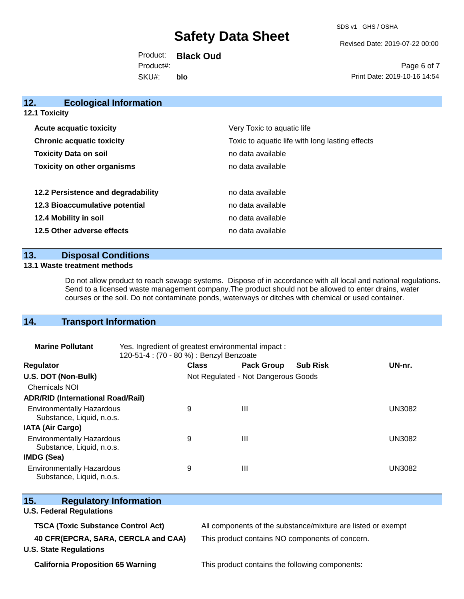SDS v1 GHS / OSHA

Revised Date: 2019-07-22 00:00

Product: **Black Oud** SKU#: Product#: **blo**

Page 6 of 7 Print Date: 2019-10-16 14:54

| 12.<br><b>Ecological Information</b> |                                                 |
|--------------------------------------|-------------------------------------------------|
| <b>12.1 Toxicity</b>                 |                                                 |
| <b>Acute acquatic toxicity</b>       | Very Toxic to aquatic life                      |
| <b>Chronic acquatic toxicity</b>     | Toxic to aquatic life with long lasting effects |
| <b>Toxicity Data on soil</b>         | no data available                               |
| <b>Toxicity on other organisms</b>   | no data available                               |
| 12.2 Persistence and degradability   | no data available                               |
| 12.3 Bioaccumulative potential       | no data available                               |
| 12.4 Mobility in soil                | no data available                               |
| 12.5 Other adverse effects           | no data available                               |
|                                      |                                                 |

## **13. Disposal Conditions**

#### **13.1 Waste treatment methods**

Do not allow product to reach sewage systems. Dispose of in accordance with all local and national regulations. Send to a licensed waste management company.The product should not be allowed to enter drains, water courses or the soil. Do not contaminate ponds, waterways or ditches with chemical or used container.

## **14. Transport Information**

| <b>Marine Pollutant</b>                                       | Yes. Ingredient of greatest environmental impact:<br>120-51-4 : (70 - 80 %) : Benzyl Benzoate |                                     |                   |                 |               |
|---------------------------------------------------------------|-----------------------------------------------------------------------------------------------|-------------------------------------|-------------------|-----------------|---------------|
| <b>Regulator</b>                                              |                                                                                               | <b>Class</b>                        | <b>Pack Group</b> | <b>Sub Risk</b> | UN-nr.        |
| U.S. DOT (Non-Bulk)                                           |                                                                                               | Not Regulated - Not Dangerous Goods |                   |                 |               |
| <b>Chemicals NOI</b>                                          |                                                                                               |                                     |                   |                 |               |
| <b>ADR/RID (International Road/Rail)</b>                      |                                                                                               |                                     |                   |                 |               |
| <b>Environmentally Hazardous</b><br>Substance, Liquid, n.o.s. |                                                                                               | 9                                   | Ш                 |                 | <b>UN3082</b> |
| <b>IATA (Air Cargo)</b>                                       |                                                                                               |                                     |                   |                 |               |
| <b>Environmentally Hazardous</b><br>Substance, Liquid, n.o.s. |                                                                                               | 9                                   | Ш                 |                 | <b>UN3082</b> |
| <b>IMDG (Sea)</b>                                             |                                                                                               |                                     |                   |                 |               |
| <b>Environmentally Hazardous</b><br>Substance, Liquid, n.o.s. |                                                                                               | 9                                   | Ш                 |                 | <b>UN3082</b> |

| JUDSTAITUC, LIYUIU, IT.U.S.               |                                                              |
|-------------------------------------------|--------------------------------------------------------------|
| 15.<br><b>Regulatory Information</b>      |                                                              |
| <b>U.S. Federal Regulations</b>           |                                                              |
| <b>TSCA (Toxic Substance Control Act)</b> | All components of the substance/mixture are listed or exempt |
| 40 CFR(EPCRA, SARA, CERCLA and CAA)       | This product contains NO components of concern.              |
| <b>U.S. State Regulations</b>             |                                                              |
|                                           |                                                              |

**California Proposition 65 Warning** This product contains the following components: